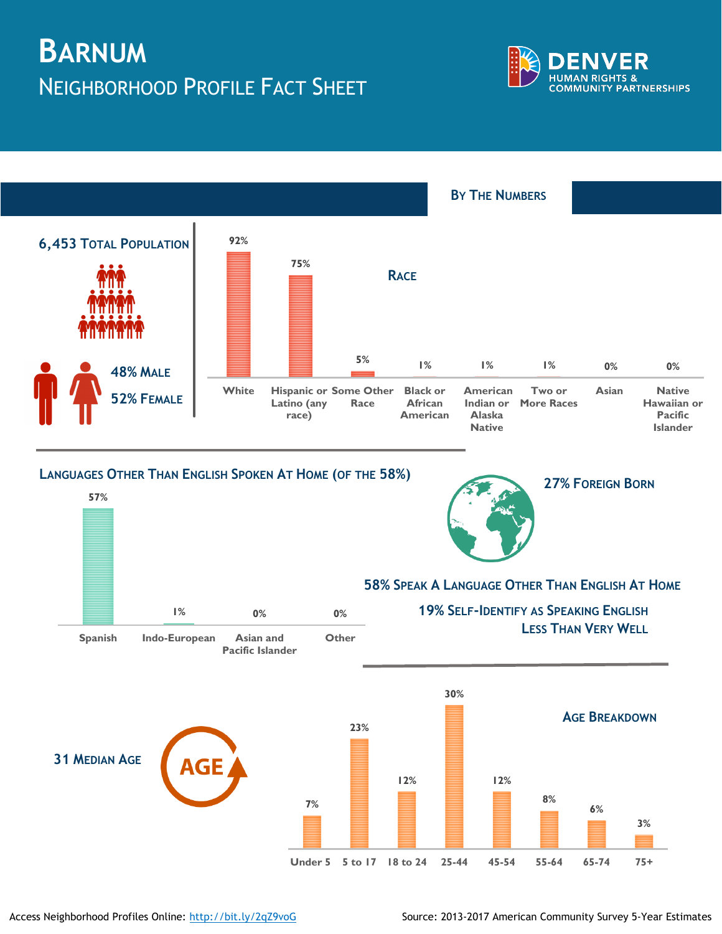## **BARNUM** NEIGHBORHOOD PROFILE FACT SHEET